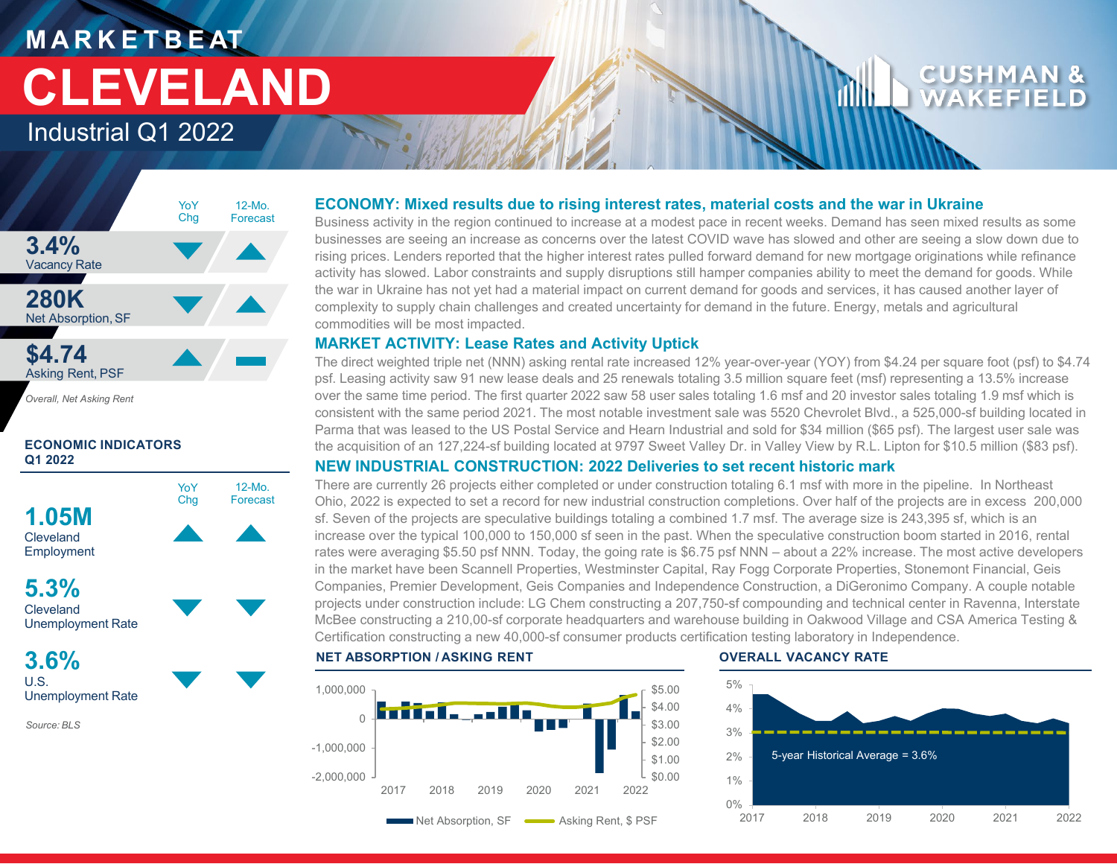## **M A R K E T B E AT** Industrial Q1 2022 **CLEVELAND**

## CUSHMA WAKEFII



*Overall, Net Asking Rent*

#### **ECONOMIC INDICATORS Q1 2022**



**Cleveland** Unemployment Rate

**3.6%** U.S. Unemployment Rate

*Source: BLS*

#### **ECONOMY: Mixed results due to rising interest rates, material costs and the war in Ukraine**

Business activity in the region continued to increase at a modest pace in recent weeks. Demand has seen mixed results as some businesses are seeing an increase as concerns over the latest COVID wave has slowed and other are seeing a slow down due to rising prices. Lenders reported that the higher interest rates pulled forward demand for new mortgage originations while refinance activity has slowed. Labor constraints and supply disruptions still hamper companies ability to meet the demand for goods. While the war in Ukraine has not yet had a material impact on current demand for goods and services, it has caused another layer of complexity to supply chain challenges and created uncertainty for demand in the future. Energy, metals and agricultural commodities will be most impacted.

#### **MARKET ACTIVITY: Lease Rates and Activity Uptick**

The direct weighted triple net (NNN) asking rental rate increased 12% year-over-year (YOY) from \$4.24 per square foot (psf) to \$4.74 psf. Leasing activity saw 91 new lease deals and 25 renewals totaling 3.5 million square feet (msf) representing a 13.5% increase over the same time period. The first quarter 2022 saw 58 user sales totaling 1.6 msf and 20 investor sales totaling 1.9 msf which is consistent with the same period 2021. The most notable investment sale was 5520 Chevrolet Blvd., a 525,000-sf building located in Parma that was leased to the US Postal Service and Hearn Industrial and sold for \$34 million (\$65 psf). The largest user sale was the acquisition of an 127,224-sf building located at 9797 Sweet Valley Dr. in Valley View by R.L. Lipton for \$10.5 million (\$83 psf).

### **NEW INDUSTRIAL CONSTRUCTION: 2022 Deliveries to set recent historic mark**

There are currently 26 projects either completed or under construction totaling 6.1 msf with more in the pipeline. In Northeast Ohio, 2022 is expected to set a record for new industrial construction completions. Over half of the projects are in excess 200,000 sf. Seven of the projects are speculative buildings totaling a combined 1.7 msf. The average size is 243,395 sf, which is an increase over the typical 100,000 to 150,000 sf seen in the past. When the speculative construction boom started in 2016, rental rates were averaging \$5.50 psf NNN. Today, the going rate is \$6.75 psf NNN – about a 22% increase. The most active developers in the market have been Scannell Properties, Westminster Capital, Ray Fogg Corporate Properties, Stonemont Financial, Geis Companies, Premier Development, Geis Companies and Independence Construction, a DiGeronimo Company. A couple notable projects under construction include: LG Chem constructing a 207,750-sf compounding and technical center in Ravenna, Interstate McBee constructing a 210,00-sf corporate headquarters and warehouse building in Oakwood Village and CSA America Testing & Certification constructing a new 40,000-sf consumer products certification testing laboratory in Independence.

#### **NET ABSORPTION / ASKING RENT OVERALL VACANCY RATE**



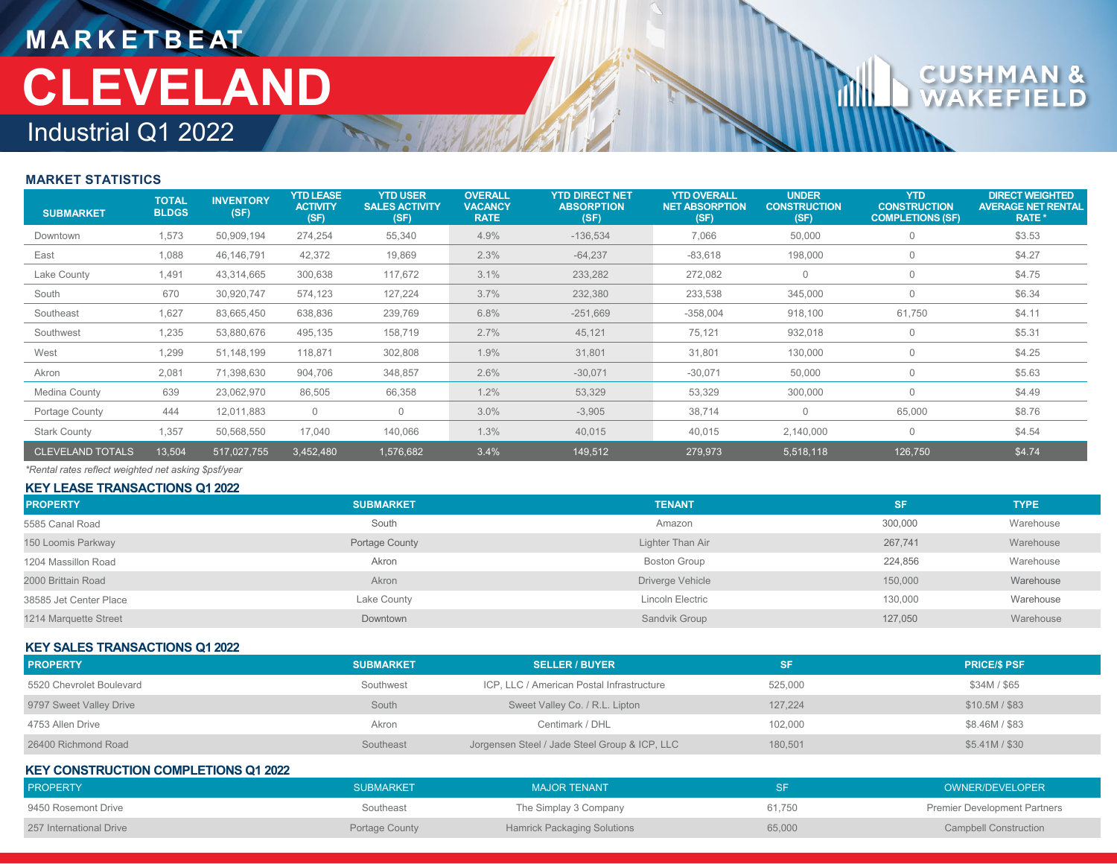## **M A R K E T B E AT** Industrial Q1 2022 **CLEVELAND**

# $c_{\text{U}}$

#### **MARKET STATISTICS**

| <b>SUBMARKET</b>        | <b>TOTAL</b><br><b>BLDGS</b> | <b>INVENTORY</b><br>(SF) | <b>YTD LEASE</b><br><b>ACTIVITY</b><br>(SF) | <b>YTD USER</b><br><b>SALES ACTIVITY</b><br>(SF) | <b>OVERALL</b><br><b>VACANCY</b><br><b>RATE</b> | <b>YTD DIRECT NET</b><br><b>ABSORPTION</b><br>(SF) | <b>YTD OVERALL</b><br><b>NET ABSORPTION</b><br>(SF) | <b>UNDER</b><br><b>CONSTRUCTION</b><br>(SF) | <b>YTD</b><br><b>CONSTRUCTION</b><br><b>COMPLETIONS (SF)</b> | <b>DIRECT WEIGHTED</b><br><b>AVERAGE NET RENTAL</b><br>RATE * |
|-------------------------|------------------------------|--------------------------|---------------------------------------------|--------------------------------------------------|-------------------------------------------------|----------------------------------------------------|-----------------------------------------------------|---------------------------------------------|--------------------------------------------------------------|---------------------------------------------------------------|
| Downtown                | 1,573                        | 50,909,194               | 274,254                                     | 55,340                                           | 4.9%                                            | $-136,534$                                         | 7,066                                               | 50,000                                      | $\mathbf 0$                                                  | \$3.53                                                        |
| East                    | 1,088                        | 46,146,791               | 42,372                                      | 19,869                                           | 2.3%                                            | $-64,237$                                          | $-83,618$                                           | 198,000                                     | $\mathbf 0$                                                  | \$4.27                                                        |
| Lake County             | 1,491                        | 43,314,665               | 300,638                                     | 117,672                                          | 3.1%                                            | 233,282                                            | 272,082                                             | $\mathbf{0}$                                | $\circ$                                                      | \$4.75                                                        |
| South                   | 670                          | 30,920,747               | 574,123                                     | 127,224                                          | 3.7%                                            | 232,380                                            | 233,538                                             | 345,000                                     | $\mathbf{0}$                                                 | \$6.34                                                        |
| Southeast               | 1,627                        | 83,665,450               | 638,836                                     | 239,769                                          | 6.8%                                            | $-251,669$                                         | $-358,004$                                          | 918,100                                     | 61,750                                                       | \$4.11                                                        |
| Southwest               | 1,235                        | 53,880,676               | 495,135                                     | 158,719                                          | 2.7%                                            | 45,121                                             | 75,121                                              | 932,018                                     | $\overline{0}$                                               | \$5.31                                                        |
| West                    | 1,299                        | 51,148,199               | 118,871                                     | 302,808                                          | 1.9%                                            | 31,801                                             | 31,801                                              | 130,000                                     | $\mathbf 0$                                                  | \$4.25                                                        |
| Akron                   | 2,081                        | 71,398,630               | 904,706                                     | 348,857                                          | 2.6%                                            | $-30,071$                                          | $-30,071$                                           | 50,000                                      | $\mathbf 0$                                                  | \$5.63                                                        |
| Medina County           | 639                          | 23,062,970               | 86,505                                      | 66,358                                           | 1.2%                                            | 53,329                                             | 53,329                                              | 300,000                                     | $\circ$                                                      | \$4.49                                                        |
| Portage County          | 444                          | 12,011,883               | $\circ$                                     | $\mathbf 0$                                      | 3.0%                                            | $-3,905$                                           | 38,714                                              |                                             | 65,000                                                       | \$8.76                                                        |
| <b>Stark County</b>     | 1,357                        | 50,568,550               | 17,040                                      | 140,066                                          | 1.3%                                            | 40,015                                             | 40,015                                              | 2,140,000                                   | $\mathbf{0}$                                                 | \$4.54                                                        |
| <b>CLEVELAND TOTALS</b> | 13,504                       | 517,027,755              | 3,452,480                                   | 1,576,682                                        | 3.4%                                            | 149,512                                            | 279,973                                             | 5,518,118                                   | 126,750                                                      | \$4.74                                                        |

*\*Rental rates reflect weighted net asking \$psf/year*

**KEY LEASE TRANSACTIONS Q1 2022**

| <b>PROPERTY</b>        | <b>SUBMARKET</b> | <b>TENANT</b>       | <b>SF</b> | <b>TYPE</b> |
|------------------------|------------------|---------------------|-----------|-------------|
| 5585 Canal Road        | South            | Amazon              | 300,000   | Warehouse   |
| 150 Loomis Parkway     | Portage County   | Lighter Than Air    | 267.741   | Warehouse   |
| 1204 Massillon Road    | Akron            | <b>Boston Group</b> | 224,856   | Warehouse   |
| 2000 Brittain Road     | Akron            | Driverge Vehicle    | 150,000   | Warehouse   |
| 38585 Jet Center Place | Lake County      | Lincoln Electric    | 130,000   | Warehouse   |
| 1214 Marquette Street  | Downtown         | Sandvik Group       | 127,050   | Warehouse   |

#### **KEY SALES TRANSACTIONS Q1 2022**

| <b>PROPERTY</b>          | <b>SUBMARKET</b> | <b>SELLER / BUYER</b>                         | <b>SF</b> | <b>PRICE/S PSF</b> |
|--------------------------|------------------|-----------------------------------------------|-----------|--------------------|
| 5520 Chevrolet Boulevard | Southwest        | ICP, LLC / American Postal Infrastructure     | 525,000   | \$34M / \$65       |
| 9797 Sweet Valley Drive  | South            | Sweet Valley Co. / R.L. Lipton                | 127.224   | $$10.5M/$ \$83     |
| 4753 Allen Drive         | Akron            | Centimark / DHL                               | 102,000   | \$8.46M / \$83     |
| 26400 Richmond Road      | Southeast        | Jorgensen Steel / Jade Steel Group & ICP, LLC | 180.501   | \$5.41M / \$30     |

#### **KEY CONSTRUCTION COMPLETIONS Q1 2022**

| <b>PROPERTY</b>         | <b>SUBMARKET</b> | <b>MAJOR TENANT</b>                |        | OWNER/DEVELOPER                     |
|-------------------------|------------------|------------------------------------|--------|-------------------------------------|
| 9450 Rosemont Drive     | Southeast        | The Simplay 3 Company              | 61.750 | <b>Premier Development Partners</b> |
| 257 International Drive | Portage County   | <b>Hamrick Packaging Solutions</b> | 65,000 | <b>Campbell Construction</b>        |